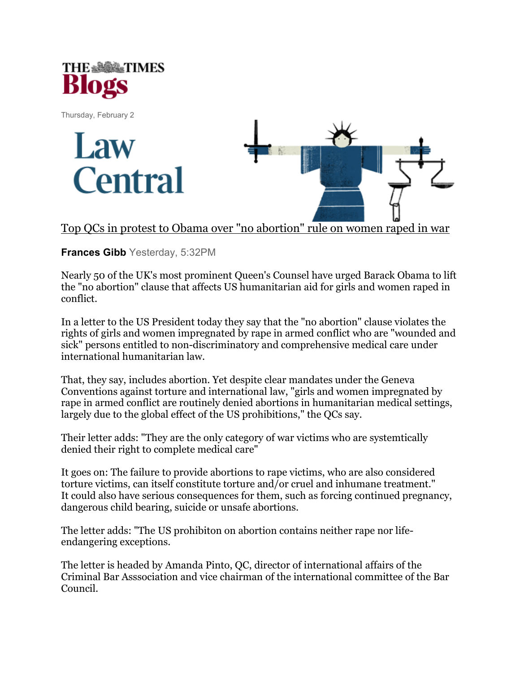

Thursday, February 2





Top QCs in protest to Obama over "no abortion" rule on women raped in war

Frances Gibb Yesterday, 5:32PM

Nearly 50 of the UK's most prominent Queen's Counsel have urged Barack Obama to lift the "no abortion" clause that affects US humanitarian aid for girls and women raped in conflict.

In a letter to the US President today they say that the "no abortion" clause violates the rights of girls and women impregnated by rape in armed conflict who are "wounded and sick" persons entitled to non-discriminatory and comprehensive medical care under international humanitarian law.

That, they say, includes abortion. Yet despite clear mandates under the Geneva Conventions against torture and international law, "girls and women impregnated by rape in armed conflict are routinely denied abortions in humanitarian medical settings, largely due to the global effect of the US prohibitions," the QCs say.

Their letter adds: "They are the only category of war victims who are systemtically denied their right to complete medical care"

It goes on: The failure to provide abortions to rape victims, who are also considered torture victims, can itself constitute torture and/or cruel and inhumane treatment." It could also have serious consequences for them, such as forcing continued pregnancy, dangerous child bearing, suicide or unsafe abortions.

The letter adds: "The US prohibiton on abortion contains neither rape nor lifeendangering exceptions.

The letter is headed by Amanda Pinto, QC, director of international affairs of the Criminal Bar Asssociation and vice chairman of the international committee of the Bar Council.